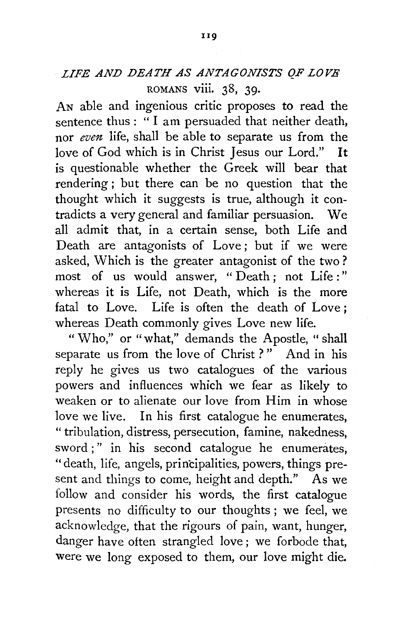## *LIFE AND DEATH AS ANTAGONISTS QF LOVE*  ROMANS viii. 38, 39.

AN able and ingenious critic proposes to read the sentence thus: " I am persuaded that neither death, nor *even* life, shall be able to separate us from the love of God which is in Christ Jesus our Lord." It is questionable whether the Greek will bear that rendering; but there can be no question that the thought which it suggests is true, although it contradicts a very general and familiar persuasion. We all admit that, in a certain sense, both Life and Death are antagonists of Love; but if we were asked, Which is the greater antagonist of the two? most of us would answer, "Death; not Life:" whereas it is Life, not Death, which is the more fatal to Love. Life is often the death of Love ; whereas Death commonly gives Love new life.

" Who," or "what," demands the Apostle, " shall separate us from the love of Christ?" And in his reply he gives us two catalogues of the various powers and influences which we fear as likely to weaken or to alienate our love from Him in whose love we live. In his first catalogue he enumerates, " tribulation, distress, persecution, famine, nakedness, sword ;" in his second catalogue he enumerates, "death, life, angels, principalities, powers, things present and things to come, height and depth." As we follow and consider his words, the first catalogue presents no difficulty to our thoughts ; we feel, we acknowledge, that the rigours of pain, want, hunger, danger have often strangled love ; we forbode that, were we long exposed to them, our love might die.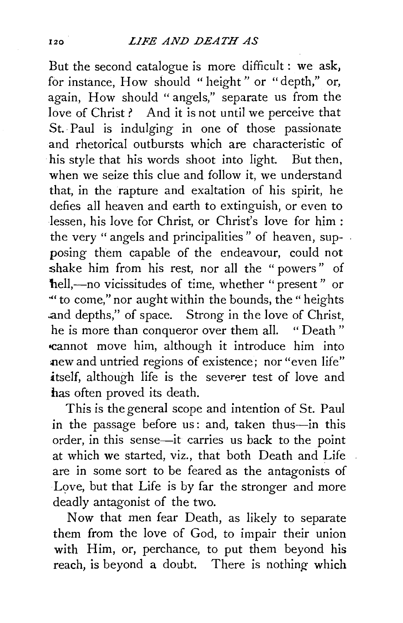But the second catalogue is more difficult : we ask, for instance, How should "height" or "depth," or, again, How should "angels," separate us from the love of Christ? And it is not until we perceive that St. Paul is indulging in one of those passionate and rhetorical outbursts which are characteristic of his style that his words shoot into light. But then, when we seize this clue and follow it, we understand that, in the rapture and exaltation of his spirit, he defies all heaven and earth to extinguish, or even to lessen, his love for Christ, or Christ's love for him : the very "angels and principalities" of heaven, supposing them capable of the endeavour, could not shake him from his rest, nor all the " powers " of hell,-no vicissitudes of time, whether "present" or ·"to come," nor aught within the bounds, the" heights and depths," of space. Strong in the love of Christ, he is more than conqueror over them all. " Death " -cannot move him, although it introduce him into new and untried regions of existence; nor "even life" itself, although life is the severer test of love and has often proved its death.

This is the general scope and intention of St. Paul in the passage before us: and, taken thus-in this order, in this sense-it carries us back to the point at which we started, viz., that both Death and Life are in some sort to be feared as the antagonists of Love, but that Life is by far the stronger and more deadly antagonist of the two.

Now that men fear Death, as likely to separate them from the love of God, to impair their union with Him, or, perchance, to put them beyond his reach, is beyond a doubt. There is nothing which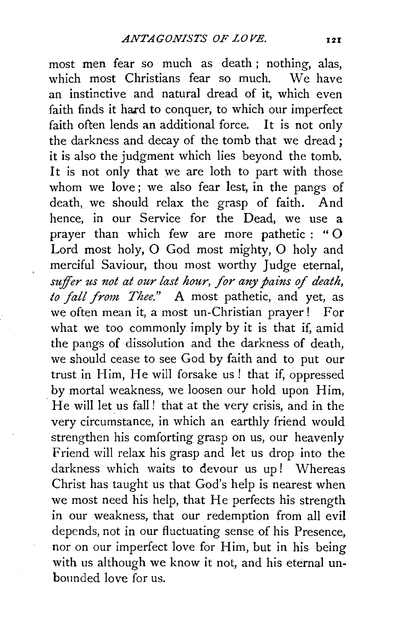most men fear so much as death; nothing, alas,<br>which most Christians fear so much We have which most Christians fear so much. an instinctive and natural dread of it, which even faith finds it hard to conquer, to which our imperfect faith often lends an additional force. It is not only the darkness and decay of the tomb that we dread ; it is also the judgment which lies beyond the tomb. It is not only that we are loth to part with those whom we love; we also fear lest, in the pangs of death, we should relax the grasp of faith. And hence, in our Service for the Dead, we use a prayer than which few are more pathetic : " 0 Lord most holy, 0 God most mighty, 0 holy and merciful Saviour, thou most worthy Judge eternal, *suffer us not at our last hour, for any pains of death, to fall from Thee."* A most pathetic, and yet, as we often mean it, a most un-Christian prayer! For what we too commonly imply by it is that if, amid the pangs of dissolution and the darkness of death, we should cease to see God by faith and to put our trust in Him, He will forsake us! that if, oppressed by mortal weakness, we loosen our hold upon Him, He will let us fall! that at the very crisis, and in the very circumstance, in which an earthly friend would strengthen his comforting grasp on us, our heavenly Friend will relax his grasp and let us drop into the darkness which waits to devour us up! Whereas Christ has taught us that God's help is nearest when we most need his help, that He perfects his strength in our weakness, that our redemption from all evil depends, not in our fluctuating sense of his Presence, nor on our imperfect love for Him, but in his being with us although we know it not, and his eternal unbounded love for us.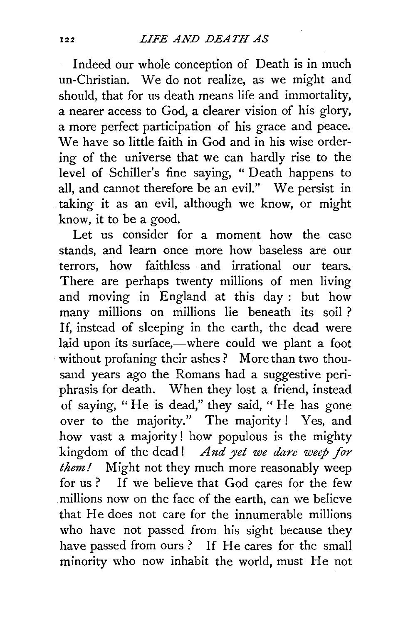Indeed our whole conception of Death is in much un-Christian. We do not realize, as we might and should, that for us death means life and immortality, a nearer access to God, a clearer vision of his glory, a more perfect participation of his grace and peace. We have so little faith in God and in his wise ordering of the universe that we can hardly rise to the level of Schiller's fine saying, "Death happens to all, and cannot therefore be an evil." We persist in taking it as an evil, although we know, or might know, it to be a good.

Let us consider for a moment how the case stands, and learn once more how baseless are our terrors, how faithless and irrational our tears. There are perhaps twenty millions of men living and moving in England at this day : but how many millions on millions lie beneath its soil ? If, instead of sleeping in the earth, the dead were laid upon its surface,—where could we plant a foot without profaning their ashes ? More than two thousand years ago the Romans had a suggestive periphrasis for death. When they lost a friend, instead of saying, "He is dead," they said, " He has gone over to the majority." The majority ! Yes, and how vast a majority ! how populous is the mighty kingdom of the dead ! *And yet we dare weep for them!* Might not they much more reasonably weep for us ? If we believe that God cares for the few .millions now on the face of the earth, can we believe that He does not care for the innumerable millions who have not passed from his sight because they have passed from ours? If He cares for the small minority who now inhabit the world, must He not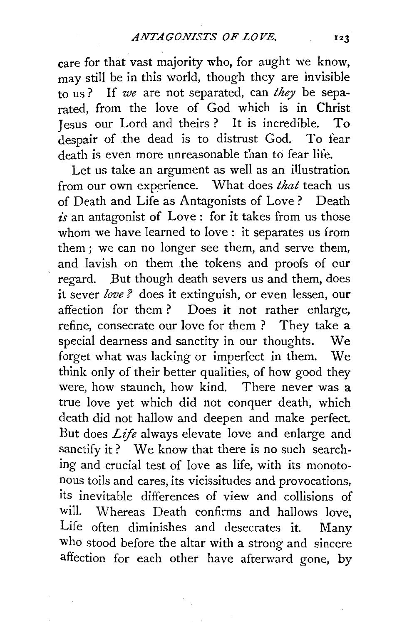care for that vast majority who, for aught we know, may still be in this world, though they are invisible to us ? If *we* are not separated, can *they* be separated, from the love of God which is in Christ Jesus our Lord and theirs? It is incredible. To despair of the dead is to distrust God. To fear death is even more unreasonable than to fear life.

Let us take an argument as well as an illustration from our own experience. What does *that* teach us of Death and Life as Antagonists of Love ? Death *is* an antagonist of Love : for it takes from us those whom we have learned to love : it separates us from them ; we can no longer see them, and serve them, and lavish on them the tokens and proofs of cur regard. But though death severs us and them, does it sever *love ?* does it extinguish, or even lessen, our affection for them ? Does it not rather enlarge, refine, consecrate our love for them ? They take a special dearness and sanctity in our thoughts. We forget what was lacking or imperfect in them. We think only of their better qualities, of how good they were, how staunch, how kind. There never was a true love yet which did not conquer death, which death did not hallow and deepen and make perfect. But does *Life* always elevate love and enlarge and sanctify it? We know that there is no such searching and crucial test of love as life, with its monotonous toils and cares, its vicissitudes and provocations, its inevitable differences of view and collisions of will. Whereas Death confirms and hallows love, Life often diminishes and desecrates it. Many who stood before the altar with a strong and sincere affection for each other have afterward gone, by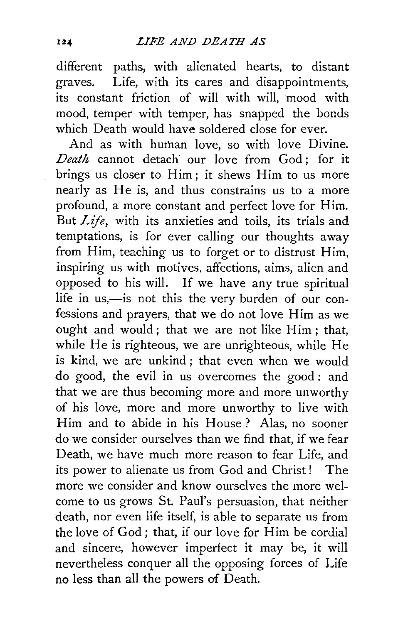different paths, with alienated hearts, to distant graves. Life, with its cares and disappointments, its constant friction of will with will, mood with mood, temper with temper, has snapped the bonds which Death would have soldered close for ever.

And as with human love, so with love Divine. *Death* cannot detach our love from God ; for it brings us closer to Him ; it shews Him to us more nearly as He is, and thus constrains us to a more profound, a more constant and perfect love for Him. But *Life,* with its anxieties and toils, its trials and temptations, is for ever calling our thoughts away from Him, teaching us to forget or to distrust Him, inspiring us with motives. affections, aims, alien and opposed to his will. If we have any true spiritual life in us,-is not this the very burden of our confessions and prayers, that we do not love Him as we ought and would; that we are not like Him; that, while He is righteous, we are unrighteous, while He is kind, we are unkind ; that even when we would do good, the evil in us overcomes the good : and that we are thus becoming more and more unworthy of his love, more and more unworthy to live with Him and to abide in his House ? Alas, no sooner do we consider ourselves than we find that, if we fear Death, we have much more reason to fear Life, and its power to alienate us from God and Christ ! The more we consider and know ourselves the more welcome to us grows St. Paul's persuasion, that neither death, nor even life itself, is able to separate us from the love of God; that, if our love for Him be cordial and sincere, however imperfect it may be, it will nevertheless conquer all the opposing forces of Life no less than all the powers af Death.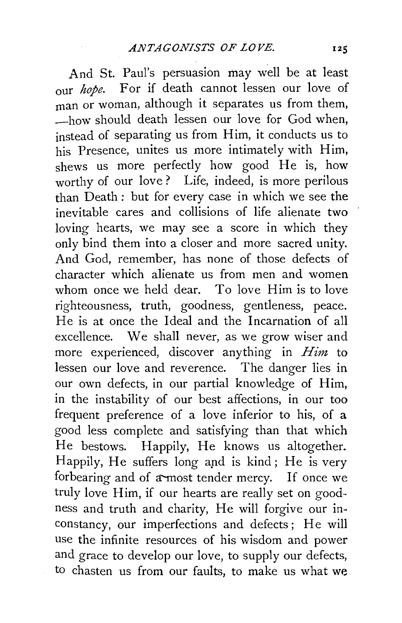And St. Paul's persuasion may well be at least our *hope.* For if death cannot lessen our love of man or woman, although it separates us from them, -how should death lessen our love for God when, instead of separating us from Him, it conducts us to his Presence, unites us more intimately with Him, shews us more perfectly how good He is, how worthy of our love? Life, indeed, is more perilous than Death : but for every case in which we see the inevitable cares and collisions of life alienate two loving hearts, we may see a score in which they only bind them into a closer and more sacred unity. And God, remember, has none of those defects of character which alienate us from men and women whom once we held dear. To love Him is to love righteousness, truth, goodness, gentleness, peace. He is at once the Ideal and the Incarnation of all excellence. We shall never, as we grow wiser and more experienced, discover anything in *Him* to lessen our love and reverence. The danger lies in our own defects, in our partial knowledge of Him, in the instability of our best affections, in our too frequent preference of a love inferior to his, of a good less complete and satisfying than that which He bestows. Happily, He knows us altogether. Happily, He suffers long apd is kind; He is very forbearing and of a-most tender mercy. If once we truly love Him, if our hearts are really set on goodness and truth and charity, He will forgive our inconstancy, our imperfections and defects; He will use the infinite resources of his wisdom and power and grace to develop our love, to supply our defects, to chasten us from our faults, to make us what we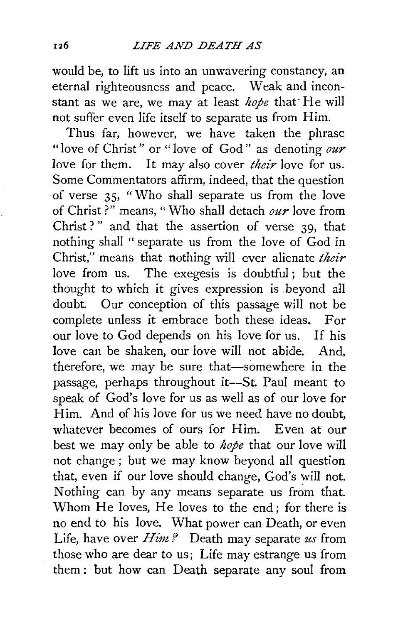would be, to lift us into an unwavering constancy, an eternal righteousness and peace. Weak and inconstant as we are, we may at least *hope* that· He will not suffer even life itself to separate us from Him.

Thus far, however, we have taken the phrase "love of Christ" or "love of God " as denoting *our*  love for them. It may also cover *their* love for us. Some Commentators affirm, indeed, that the question of verse 35, "Who shall separate us from the love of Christ ?" means, "Who shall detach *our* love from Christ ?" and that the assertion of verse  $39$ , that nothing shall " separate us from the love of God in Christ," means that nothing will ever alienate *their*  love from us. The exegesis is doubtful; but the thought to which it gives expression is .beyond all doubt. Our conception of this passage will not be complete unless it embrace both these ideas. For our love to God depends on his love for us. If his love can be shaken, our love will not abide. And, therefore, we may be sure that-somewhere in the passage, perhaps throughout it-St. Paul meant to speak of God's love for us as well as of our love for Him. And of his love for us we need have no doubt. whatever becomes of ours for Him. Even at our best we may only be able to *hope* that our love will not change ; but we may know beyond all question that, even if our love should change, God's will not. Nothing can by any means separate us from that. Whom He loves, He loves to the end; for there is no end to his love. What power can Death, or even Life, have over *Him'?* Death may separate *us* from those who are dear to us; Life may estrange us from them : but how can Death separate any soul from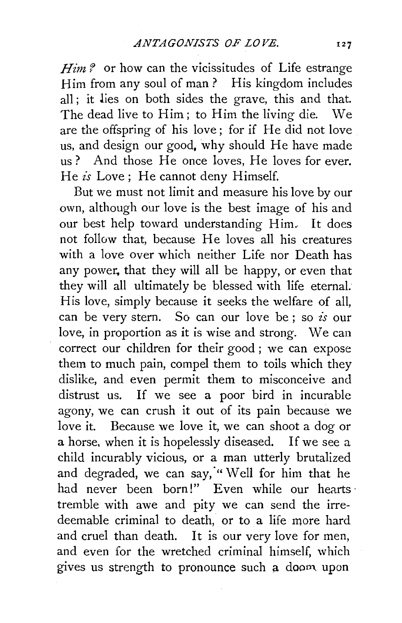Him? or how can the vicissitudes of Life estrange Him from any soul of man? His kingdom includes all ; it lies on both sides the grave, this and that. The dead live to Him ; to Him the living die. We are the offspring of his love; for if He did not love us, and design our good, why should He have made us? And those He once loves, He loves for ever. He *is* Love; He cannot deny Himself.

But we must not limit and measure his love by our own, although our love is the best image of his and our best help toward understanding Him.. It does not follow that, because He loves all his creatures with a love over which neither Life nor Death has any power, that they will all be happy, or even that they will all ultimately be blessed with life eternal. His love, simply because it seeks the welfare of all, can be very stern. So can our love be ; so *is* our love, in proportion as it is wise and strong. We can correct our children for their good ; we can expose them to much pain, compel them to toils which they dislike, and even permit them to misconceive and distrust us. If we see a poor bird in incurable agony, we can crush it out of its pain because we love it. Because we love it, we can shoot a dog or a horse, when it is hopelessly diseased. If we see a child incurably vicious, or a man utterly brutalized and degraded, we can say, "Well for him that he had never been born!" Even while our hearts tremble with awe and pity we can send the irredeemable criminal to death, or to a life more hard and cruel than death. It is our very love for men, and even for the wretched criminal himself, which gives us strength to pronounce such a doom. upon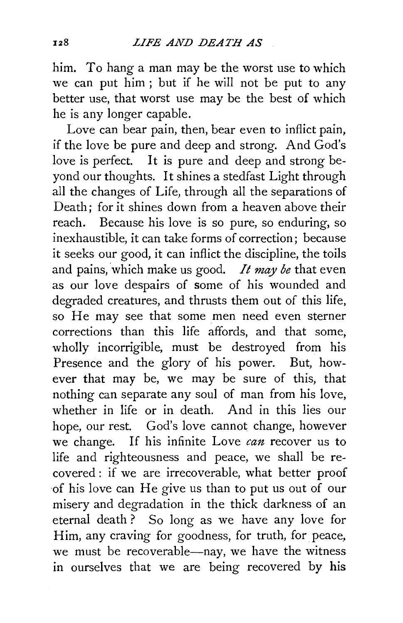him. To hang a man may be the worst use to which we can put him ; but if he will not be put to any better use, that worst use may be the best of which he is any longer capable.

Love can bear pain, then, bear even to inflict pain, if the love be pure and deep and strong. And God's love is perfect. It is pure and deep and strong beyond our thoughts. It shines a stedfast Light through all the changes of Life, through all the separations of Death; for it shines down from a heaven above their reach. Because his love is so pure, so enduring, so inexhaustible, it can take forms of correction; because it seeks our good, it can inflict the discipline, the toils and pains, which make us good. *It may be* that even as our love despairs of some of his wounded and degraded creatures, and thrusts them out of this life, so He may see that some men need even sterner corrections than this life affords, and that some, wholly incorrigible, must be destroyed from his Presence and the glory of his power. But, however that may be, we may be sure of this, that nothing can separate any soul of man from his love, whether in life or in death. And in this lies our hope, our rest. God's love cannot change, however we change. If his infinite Love *can* recover us to life and righteousness and peace, we shall be recovered: if we are irrecoverable, what better proof of his love can He give us than to put us out of our misery and degradation in the thick darkness of an eternal death ? So long as we have any love for Him, any craving for goodness, for truth, for peace, we must be recoverable—nay, we have the witness in ourselves that we are being recovered by his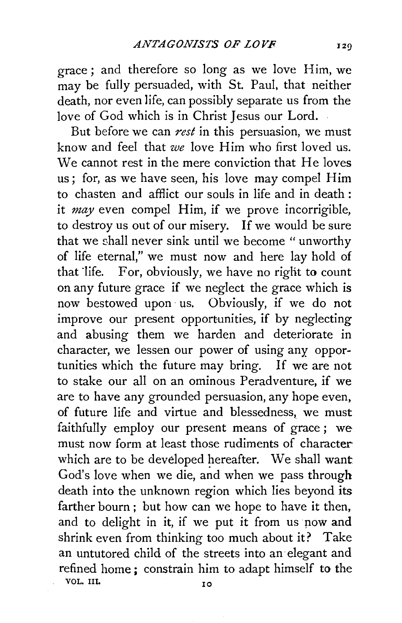grace ; and therefore so long as we love Him, we may be fully persuaded, with St. Paul, that neither death, nor even life, can possibly separate us from the love of God which is in Christ Jesus our Lord.

But before we can  $rest$  in this persuasion, we must know and feel that *we* love Him who first loved us. We cannot rest in the mere conviction that He loves us; for, as we have seen, his love may compel Him to chasten and afflict our souls in life and in death : it *may* even compel Him, if we prove incorrigible, to destroy us out of our misery. If we would be sure that we shall never sink until we become " unworthy of life eternal," we must now and here lay hold of that 'life. For, obviously, we have no right to count on any future grace if we neglect the grace which is now bestowed upon· us. Obviously, if we do not improve our present opportunities, if by neglecting and abusing them we harden and deteriorate in character, we lessen our power of using any opportunities which the future may bring. If we are not to stake our all on an ominous Peradventure, if we are to have any grounded persuasion, any hope even, of future life and virtue and blessedness, we must faithfully employ our present means of grace; we must now form at least those rudiments of character which are to be developed hereafter. We shall want God's love when we die, and when we pass through death into the unknown region which lies beyond its farther bourn; but how can we hope to have it then, and to delight in it, if we put it from us pow and shrink even from thinking too much about it? Take an untutored child of the streets into an· elegant and refined home ; constrain him to adapt himself to the VOL. III. 10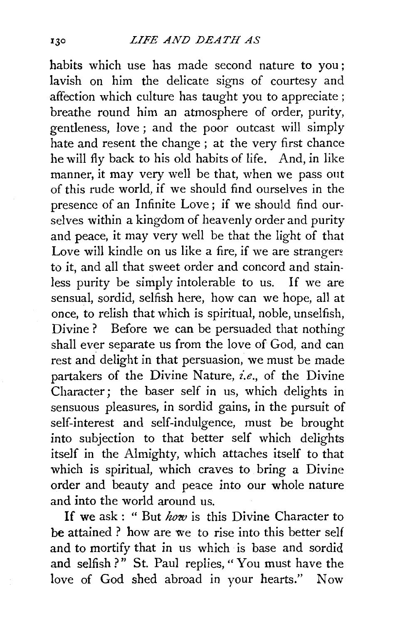habits which use has made second nature to you ; lavish on him the delicate signs of courtesy and affection which culture has taught you to appreciate ; breathe round him an atmosphere of order, purity, gentleness, love ; and the poor outcast will simply hate and resent the change; at the very first chance he will fly back to his old habits of life. And, in like manner, it may very well be that, when we pass out of this rude world, if we should find ourselves in the presence of an Infinite Love ; if we should find ourselves within a kingdom of heavenly order and purity and peace, it may very well be that the light of that Love will kindle on us like a fire, if we are strangers to it, and all that sweet order and concord and stainless purity be simply intolerable to us. If we are sensual, sordid, selfish here, how can we hope, all at once, to relish that which is spiritual, noble, unselfish, Divine ? Before we can be persuaded that nothing shall ever separate us from the love of God, and can rest and delight in that persuasion, we must be made partakers of the Divine Nature, *i.e.,* of the Divine Character; the baser self in us, which delights in sensuous pleasures, in sordid gains, in the pursuit of self-interest and self-indulgence, must be brought into subjection to that better self which delights itself in the Almighty, which attaches itself to that which is spiritual, which craves to bring a Divine order and beauty and peace into our whole nature and into the world around us.

If we ask : " But *how* is this Divine Character to be attained ? how are we to rise into this better self and to mortify that in us which is base and sordid and selfish?" St. Paul replies, "You must have the love of God shed abroad in your hearts." Now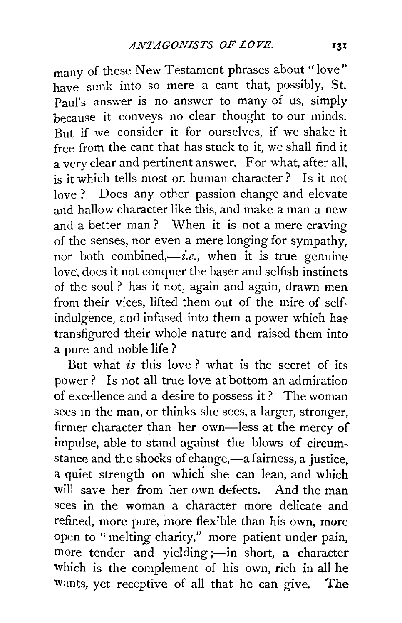many of these New Testament phrases about "love" have sunk into so mere a cant that, possibly, St. Paul's answer is no answer to many of us, simply because it conveys no clear thought to our minds. But if we consider it for ourselves, if we shake it free from the cant that has stuck to it, we shall find it a very clear and pertinent answer. For what, after all, is it which tells most on human character? Is it not love ? Does any other passion change and elevate and hallow character like this, and make a man a new and a better man ? When it is not a mere craving of the senses, nor even a mere longing for sympathy, nor both combined,—*i.e.*, when it is true genuinelove, does it not conquer the baser and selfish instincts of the soul ? has it not, again and again, drawn men from their vices, lifted them out of the mire of selfindulgence, and infused into them a power which has transfigured their whole nature and raised them into a pure and noble life?

But what *is* this love? what is the secret of its power? Is not all true love at bottom an admiration of excellence and a desire to possess it ? The woman sees in the man, or thinks she sees, a larger, stronger, firmer character than her own-less at the mercy of impulse, able to stand against the blows of circumstance and the shocks of change,-a fairness, a justice, a quiet strength on which she can lean, and which will save her from her own defects. And the man sees in the woman a character more delicate and refined, more pure, more flexible than his own, more open to " melting charity," more patient under pain, more tender and yielding ;- in short, a character which is the complement of his own, rich in all he wants, yet receptive of all that he can give. The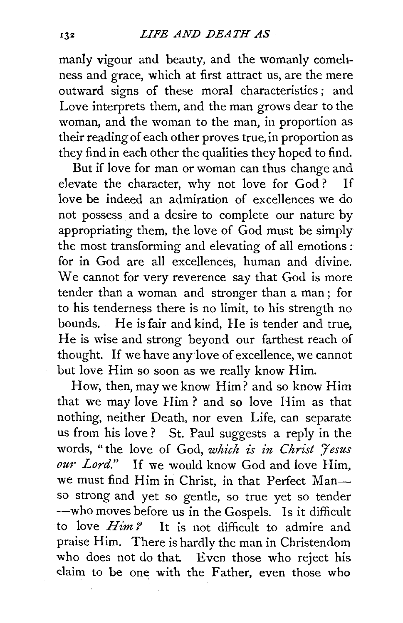manly vigour and beauty, and the womanly comeliness and grace, which at first attract us, are the mere outward signs of these moral characteristics ; and Love interprets them, and the man grows dear to the woman, and the woman to the man, in proportion as their reading of each other proves true, in proportion as they find in each other the qualities they hoped to find.

But if love for man or woman can thus change and elevate the character, why not love for God ? If love be indeed an admiration of excellences we do not possess and a desire to complete our nature by appropriating them, the love of God must be simply the most transforming and elevating of all emotions : for in God are all excellences, human and divine. We cannot for very reverence say that God is more tender than a woman and stronger than a man ; for to his tenderness there is no limit, to his strength no bounds. He is fair and kind, He is tender and true, He is wise and strong beyond our farthest reach of thought. If we have any love of excellence, we cannot but love Him so soon as we really know Him.

How, then, may we know Him? and so know Him that we may love Him? and so love Him as that nothing, neither Death, nor even Life, can separate us from his love ? St. Paul suggests a reply in the words, "the love of God, *which is in Christ 'Jesus our Lord."* If we would know God and love Him, we must find Him in Christ, in that Perfect Manso strong and yet so gentle, so true yet so tender -who moves before us in the Gospels. Is it difficult to love *Him ?* It is not difficult to admire and praise Him. There is hardly the man in Christendom who does not do that. Even those who reject his daim to be one with the Father, even those who